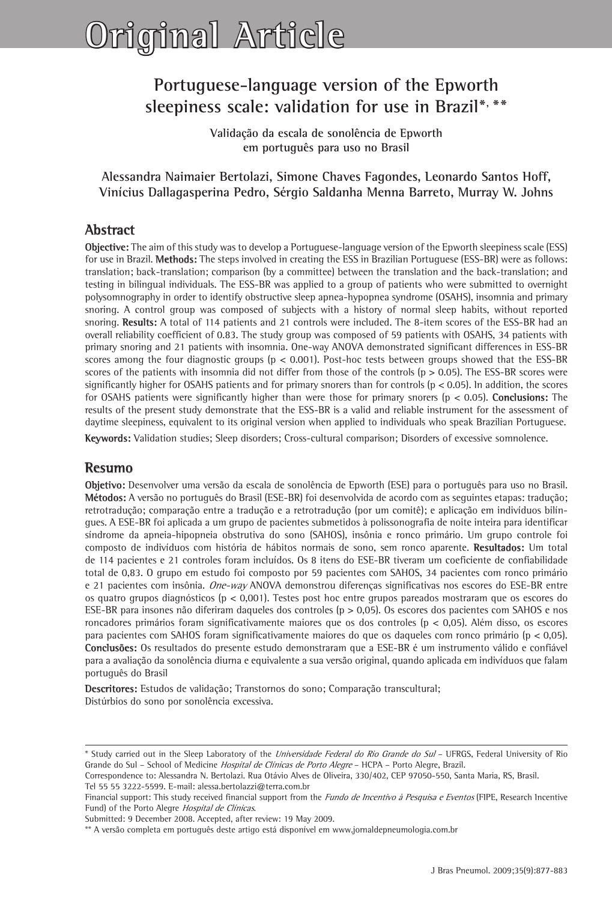# **Original Article**

# **Portuguese-language version of the Epworth sleepiness scale: validation for use in Brazil\*, \*\***

**Validação da escala de sonolência de Epworth em português para uso no Brasil**

**Alessandra Naimaier Bertolazi, Simone Chaves Fagondes, Leonardo Santos Hoff, Vinícius Dallagasperina Pedro, Sérgio Saldanha Menna Barreto, Murray W. Johns**

# **Abstract**

**Objective:** The aim of this study was to develop a Portuguese-language version of the Epworth sleepiness scale (ESS) for use in Brazil. **Methods:** The steps involved in creating the ESS in Brazilian Portuguese (ESS-BR) were as follows: translation; back-translation; comparison (by a committee) between the translation and the back-translation; and testing in bilingual individuals. The ESS-BR was applied to a group of patients who were submitted to overnight polysomnography in order to identify obstructive sleep apnea-hypopnea syndrome (OSAHS), insomnia and primary snoring. A control group was composed of subjects with a history of normal sleep habits, without reported snoring. **Results:** A total of 114 patients and 21 controls were included. The 8-item scores of the ESS-BR had an overall reliability coefficient of 0.83. The study group was composed of 59 patients with OSAHS, 34 patients with primary snoring and 21 patients with insomnia. One-way ANOVA demonstrated significant differences in ESS-BR scores among the four diagnostic groups ( $p < 0.001$ ). Post-hoc tests between groups showed that the ESS-BR scores of the patients with insomnia did not differ from those of the controls (p > 0.05). The ESS-BR scores were significantly higher for OSAHS patients and for primary snorers than for controls ( $p < 0.05$ ). In addition, the scores for OSAHS patients were significantly higher than were those for primary snorers (p < 0.05). **Conclusions:** The results of the present study demonstrate that the ESS-BR is a valid and reliable instrument for the assessment of daytime sleepiness, equivalent to its original version when applied to individuals who speak Brazilian Portuguese.

**Keywords:** Validation studies; Sleep disorders; Cross-cultural comparison; Disorders of excessive somnolence.

# **Resumo**

**Objetivo:** Desenvolver uma versão da escala de sonolência de Epworth (ESE) para o português para uso no Brasil. **Métodos:** A versão no português do Brasil (ESE-BR) foi desenvolvida de acordo com as seguintes etapas: tradução; retrotradução; comparação entre a tradução e a retrotradução (por um comitê); e aplicação em indivíduos bilíngues. A ESE-BR foi aplicada a um grupo de pacientes submetidos à polissonografia de noite inteira para identificar síndrome da apneia-hipopneia obstrutiva do sono (SAHOS), insônia e ronco primário. Um grupo controle foi composto de indivíduos com história de hábitos normais de sono, sem ronco aparente. **Resultados:** Um total de 114 pacientes e 21 controles foram incluídos. Os 8 itens do ESE-BR tiveram um coeficiente de confiabilidade total de 0,83. O grupo em estudo foi composto por 59 pacientes com SAHOS, 34 pacientes com ronco primário e 21 pacientes com insônia. One-way ANOVA demonstrou diferenças significativas nos escores do ESE-BR entre os quatro grupos diagnósticos (p < 0,001). Testes post hoc entre grupos pareados mostraram que os escores do ESE-BR para insones não diferiram daqueles dos controles (p > 0,05). Os escores dos pacientes com SAHOS e nos roncadores primários foram significativamente maiores que os dos controles (p < 0,05). Além disso, os escores para pacientes com SAHOS foram significativamente maiores do que os daqueles com ronco primário (p < 0,05). **Conclusões:** Os resultados do presente estudo demonstraram que a ESE-BR é um instrumento válido e confiável para a avaliação da sonolência diurna e equivalente a sua versão original, quando aplicada em indivíduos que falam português do Brasil

**Descritores:** Estudos de validação; Transtornos do sono; Comparação transcultural; Distúrbios do sono por sonolência excessiva.

Correspondence to: Alessandra N. Bertolazi. Rua Otávio Alves de Oliveira, 330/402, CEP 97050-550, Santa Maria, RS, Brasil. Tel 55 55 3222-5599. E-mail: alessa.bertolazzi@terra.com.br

<sup>\*</sup> Study carried out in the Sleep Laboratory of the Universidade Federal do Rio Grande do Sul – UFRGS, Federal University of Rio Grande do Sul – School of Medicine *Hospital de Clínicas de Porto Alegre* – HCPA – Porto Alegre, Brazil.

Financial support: This study received financial support from the Fundo de Incentivo à Pesquisa e Eventos (FIPE, Research Incentive Fund) of the Porto Alegre Hospital de Clínicas.

Submitted: 9 December 2008. Accepted, after review: 19 May 2009.

<sup>\*\*</sup> A versão completa em português deste artigo está disponível em www.jornaldepneumologia.com.br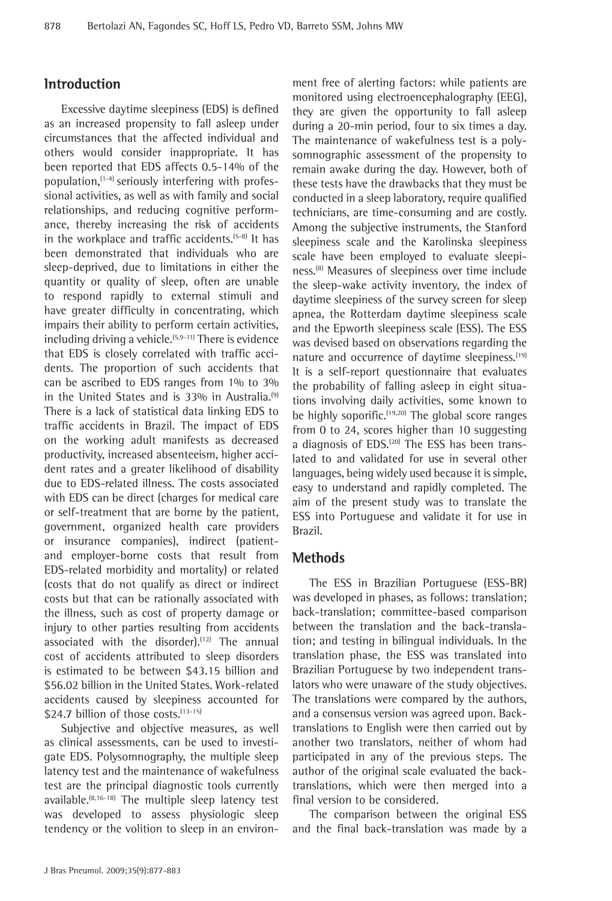# **Introduction**

Excessive daytime sleepiness (EDS) is defined as an increased propensity to fall asleep under circumstances that the affected individual and others would consider inappropriate. It has been reported that EDS affects 0.5-14% of the population, $(1-4)$  seriously interfering with professional activities, as well as with family and social relationships, and reducing cognitive performance, thereby increasing the risk of accidents in the workplace and traffic accidents.<sup>(5-8)</sup> It has been demonstrated that individuals who are sleep-deprived, due to limitations in either the quantity or quality of sleep, often are unable to respond rapidly to external stimuli and have greater difficulty in concentrating, which impairs their ability to perform certain activities, including driving a vehicle. $(5,9-11)$  There is evidence that EDS is closely correlated with traffic accidents. The proportion of such accidents that can be ascribed to EDS ranges from 1% to 3% in the United States and is 33% in Australia.<sup>(9)</sup> There is a lack of statistical data linking EDS to traffic accidents in Brazil. The impact of EDS on the working adult manifests as decreased productivity, increased absenteeism, higher accident rates and a greater likelihood of disability due to EDS-related illness. The costs associated with EDS can be direct (charges for medical care or self-treatment that are borne by the patient, government, organized health care providers or insurance companies), indirect (patientand employer-borne costs that result from EDS-related morbidity and mortality) or related (costs that do not qualify as direct or indirect costs but that can be rationally associated with the illness, such as cost of property damage or injury to other parties resulting from accidents associated with the disorder).<sup>(12)</sup> The annual cost of accidents attributed to sleep disorders is estimated to be between \$43.15 billion and \$56.02 billion in the United States. Work-related accidents caused by sleepiness accounted for \$24.7 billion of those costs. (13-15)

Subjective and objective measures, as well as clinical assessments, can be used to investigate EDS. Polysomnography, the multiple sleep latency test and the maintenance of wakefulness test are the principal diagnostic tools currently available.(8,16-18) The multiple sleep latency test was developed to assess physiologic sleep tendency or the volition to sleep in an environment free of alerting factors: while patients are monitored using electroencephalography (EEG), they are given the opportunity to fall asleep during a 20-min period, four to six times a day. The maintenance of wakefulness test is a polysomnographic assessment of the propensity to remain awake during the day. However, both of these tests have the drawbacks that they must be conducted in a sleep laboratory, require qualified technicians, are time-consuming and are costly. Among the subjective instruments, the Stanford sleepiness scale and the Karolinska sleepiness scale have been employed to evaluate sleepiness.(8) Measures of sleepiness over time include the sleep-wake activity inventory, the index of daytime sleepiness of the survey screen for sleep apnea, the Rotterdam daytime sleepiness scale and the Epworth sleepiness scale (ESS). The ESS was devised based on observations regarding the nature and occurrence of daytime sleepiness.<sup>(19)</sup> It is a self-report questionnaire that evaluates the probability of falling asleep in eight situations involving daily activities, some known to be highly soporific.(19,20) The global score ranges from 0 to 24, scores higher than 10 suggesting a diagnosis of EDS.<sup>(20)</sup> The ESS has been translated to and validated for use in several other languages, being widely used because it is simple, easy to understand and rapidly completed. The aim of the present study was to translate the ESS into Portuguese and validate it for use in Brazil.

# **Methods**

The ESS in Brazilian Portuguese (ESS-BR) was developed in phases, as follows: translation; back-translation; committee-based comparison between the translation and the back-translation; and testing in bilingual individuals. In the translation phase, the ESS was translated into Brazilian Portuguese by two independent translators who were unaware of the study objectives. The translations were compared by the authors, and a consensus version was agreed upon. Backtranslations to English were then carried out by another two translators, neither of whom had participated in any of the previous steps. The author of the original scale evaluated the backtranslations, which were then merged into a final version to be considered.

The comparison between the original ESS and the final back-translation was made by a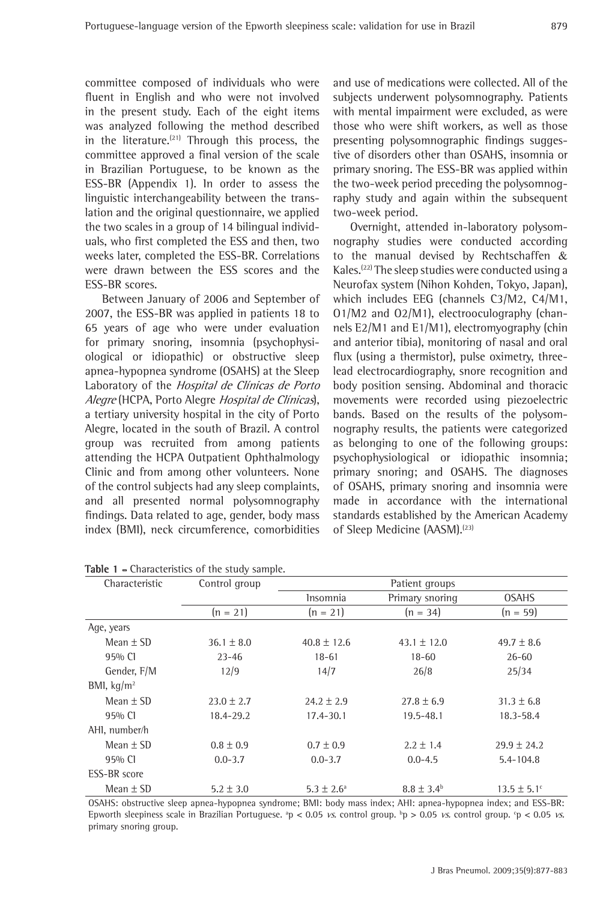committee composed of individuals who were fluent in English and who were not involved in the present study. Each of the eight items was analyzed following the method described in the literature. $(21)$  Through this process, the committee approved a final version of the scale in Brazilian Portuguese, to be known as the ESS-BR (Appendix 1). In order to assess the linguistic interchangeability between the translation and the original questionnaire, we applied the two scales in a group of 14 bilingual individuals, who first completed the ESS and then, two weeks later, completed the ESS-BR. Correlations were drawn between the ESS scores and the ESS-BR scores.

Between January of 2006 and September of 2007, the ESS-BR was applied in patients 18 to 65 years of age who were under evaluation for primary snoring, insomnia (psychophysiological or idiopathic) or obstructive sleep apnea-hypopnea syndrome (OSAHS) at the Sleep Laboratory of the Hospital de Clínicas de Porto Alegre (HCPA, Porto Alegre Hospital de Clínicas), a tertiary university hospital in the city of Porto Alegre, located in the south of Brazil. A control group was recruited from among patients attending the HCPA Outpatient Ophthalmology Clinic and from among other volunteers. None of the control subjects had any sleep complaints, and all presented normal polysomnography findings. Data related to age, gender, body mass index (BMI), neck circumference, comorbidities

and use of medications were collected. All of the subjects underwent polysomnography. Patients with mental impairment were excluded, as were those who were shift workers, as well as those presenting polysomnographic findings suggestive of disorders other than OSAHS, insomnia or primary snoring. The ESS-BR was applied within the two-week period preceding the polysomnography study and again within the subsequent two-week period.

Overnight, attended in-laboratory polysomnography studies were conducted according to the manual devised by Rechtschaffen & Kales.(22) The sleep studies were conducted using a Neurofax system (Nihon Kohden, Tokyo, Japan), which includes EEG (channels C3/M2, C4/M1, O1/M2 and O2/M1), electrooculography (channels E2/M1 and E1/M1), electromyography (chin and anterior tibia), monitoring of nasal and oral flux (using a thermistor), pulse oximetry, threelead electrocardiography, snore recognition and body position sensing. Abdominal and thoracic movements were recorded using piezoelectric bands. Based on the results of the polysomnography results, the patients were categorized as belonging to one of the following groups: psychophysiological or idiopathic insomnia; primary snoring; and OSAHS. The diagnoses of OSAHS, primary snoring and insomnia were made in accordance with the international standards established by the American Academy of Sleep Medicine (AASM).<sup>(23)</sup>

| Characteristic      | Control group  | Patient groups        |                       |                        |  |  |
|---------------------|----------------|-----------------------|-----------------------|------------------------|--|--|
|                     |                | Insomnia              | Primary snoring       | <b>OSAHS</b>           |  |  |
|                     | $(n = 21)$     | $(n = 21)$            | $(n = 34)$            | $(n = 59)$             |  |  |
| Age, years          |                |                       |                       |                        |  |  |
| Mean $\pm$ SD       | $36.1 \pm 8.0$ | $40.8 \pm 12.6$       | $43.1 \pm 12.0$       | $49.7 \pm 8.6$         |  |  |
| 95% CI              | $23 - 46$      | $18 - 61$             | $18 - 60$             | $26 - 60$              |  |  |
| Gender, F/M         | 12/9           | 14/7                  | 26/8                  | 25/34                  |  |  |
| BMI, $kq/m^2$       |                |                       |                       |                        |  |  |
| Mean $\pm$ SD       | $23.0 \pm 2.7$ | $24.2 \pm 2.9$        | $27.8 \pm 6.9$        | $31.3 \pm 6.8$         |  |  |
| 95% CI              | 18.4-29.2      | $17.4 - 30.1$         | $19.5 - 48.1$         | 18.3-58.4              |  |  |
| AHI, number/h       |                |                       |                       |                        |  |  |
| Mean $\pm$ SD       | $0.8 \pm 0.9$  | $0.7 \pm 0.9$         | $2.2 \pm 1.4$         | $29.9 \pm 24.2$        |  |  |
| 95% CI              | $0.0 - 3.7$    | $0.0 - 3.7$           | $0.0 - 4.5$           | $5.4 - 104.8$          |  |  |
| <b>ESS-BR</b> score |                |                       |                       |                        |  |  |
| Mean $\pm$ SD       | $5.2 \pm 3.0$  | $5.3 \pm 2.6^{\circ}$ | $8.8 \pm 3.4^{\rm b}$ | $13.5 \pm 5.1^{\circ}$ |  |  |

**Table 1 -** Characteristics of the study sample.

OSAHS: obstructive sleep apnea-hypopnea syndrome; BMI: body mass index; AHI: apnea-hypopnea index; and ESS-BR: Epworth sleepiness scale in Brazilian Portuguese.  ${}^{\circ}p$  < 0.05 *vs.* control group.  ${}^{\circ}p$  > 0.05 *vs.* control group.  ${}^{\circ}p$  < 0.05 *vs.* primary snoring group.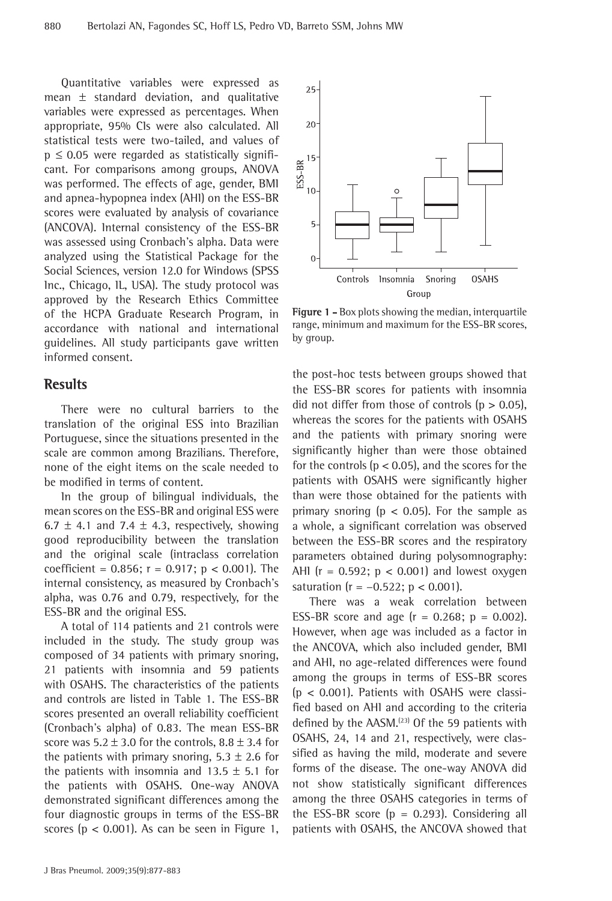Quantitative variables were expressed as mean  $\pm$  standard deviation, and qualitative variables were expressed as percentages. When appropriate, 95% CIs were also calculated. All statistical tests were two-tailed, and values of  $p \leq 0.05$  were regarded as statistically significant. For comparisons among groups, ANOVA was performed. The effects of age, gender, BMI and apnea-hypopnea index (AHI) on the ESS-BR scores were evaluated by analysis of covariance (ANCOVA). Internal consistency of the ESS-BR was assessed using Cronbach's alpha. Data were analyzed using the Statistical Package for the Social Sciences, version 12.0 for Windows (SPSS Inc., Chicago, IL, USA). The study protocol was approved by the Research Ethics Committee of the HCPA Graduate Research Program, in accordance with national and international guidelines. All study participants gave written informed consent.

#### **Results**

There were no cultural barriers to the translation of the original ESS into Brazilian Portuguese, since the situations presented in the scale are common among Brazilians. Therefore, none of the eight items on the scale needed to be modified in terms of content.

In the group of bilingual individuals, the mean scores on the ESS-BR and original ESS were 6.7  $\pm$  4.1 and 7.4  $\pm$  4.3, respectively, showing good reproducibility between the translation and the original scale (intraclass correlation coefficient =  $0.856$ ; r =  $0.917$ ; p <  $0.001$ ). The internal consistency, as measured by Cronbach's alpha, was 0.76 and 0.79, respectively, for the ESS-BR and the original ESS.

A total of 114 patients and 21 controls were included in the study. The study group was composed of 34 patients with primary snoring, 21 patients with insomnia and 59 patients with OSAHS. The characteristics of the patients and controls are listed in Table 1. The ESS-BR scores presented an overall reliability coefficient (Cronbach's alpha) of 0.83. The mean ESS-BR score was  $5.2 \pm 3.0$  for the controls,  $8.8 \pm 3.4$  for the patients with primary snoring,  $5.3 \pm 2.6$  for the patients with insomnia and 13.5  $\pm$  5.1 for the patients with OSAHS. One-way ANOVA demonstrated significant differences among the four diagnostic groups in terms of the ESS-BR scores ( $p < 0.001$ ). As can be seen in Figure 1,



**Figure 1 -** Box plots showing the median, interquartile range, minimum and maximum for the ESS-BR scores, by group.

the post-hoc tests between groups showed that the ESS-BR scores for patients with insomnia did not differ from those of controls ( $p > 0.05$ ), whereas the scores for the patients with OSAHS and the patients with primary snoring were significantly higher than were those obtained for the controls ( $p < 0.05$ ), and the scores for the patients with OSAHS were significantly higher than were those obtained for the patients with primary snoring ( $p < 0.05$ ). For the sample as a whole, a significant correlation was observed between the ESS-BR scores and the respiratory parameters obtained during polysomnography: AHI ( $r = 0.592$ ;  $p < 0.001$ ) and lowest oxygen saturation ( $r = -0.522$ ;  $p < 0.001$ ).

There was a weak correlation between ESS-BR score and age  $(r = 0.268; p = 0.002)$ . However, when age was included as a factor in the ANCOVA, which also included gender, BMI and AHI, no age-related differences were found among the groups in terms of ESS-BR scores (p < 0.001). Patients with OSAHS were classified based on AHI and according to the criteria defined by the AASM.<sup>(23)</sup> Of the 59 patients with OSAHS, 24, 14 and 21, respectively, were classified as having the mild, moderate and severe forms of the disease. The one-way ANOVA did not show statistically significant differences among the three OSAHS categories in terms of the ESS-BR score ( $p = 0.293$ ). Considering all patients with OSAHS, the ANCOVA showed that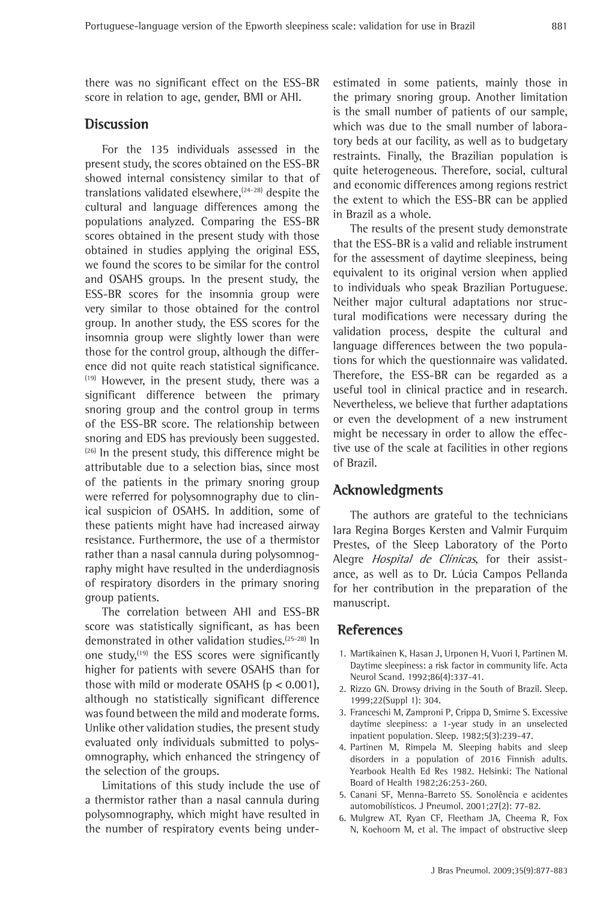there was no significant effect on the ESS-BR score in relation to age, gender, BMI or AHI.

# **Discussion**

For the 135 individuals assessed in the present study, the scores obtained on the ESS-BR showed internal consistency similar to that of translations validated elsewhere,  $(24-28)$  despite the cultural and language differences among the populations analyzed. Comparing the ESS-BR scores obtained in the present study with those obtained in studies applying the original ESS, we found the scores to be similar for the control and OSAHS groups. In the present study, the ESS-BR scores for the insomnia group were very similar to those obtained for the control group. In another study, the ESS scores for the insomnia group were slightly lower than were those for the control group, although the difference did not quite reach statistical significance.  $(19)$  However, in the present study, there was a significant difference between the primary snoring group and the control group in terms of the ESS-BR score. The relationship between snoring and EDS has previously been suggested.  $(26)$  In the present study, this difference might be attributable due to a selection bias, since most of the patients in the primary snoring group were referred for polysomnography due to clinical suspicion of OSAHS. In addition, some of these patients might have had increased airway resistance. Furthermore, the use of a thermistor rather than a nasal cannula during polysomnography might have resulted in the underdiagnosis of respiratory disorders in the primary snoring group patients.

The correlation between AHI and ESS-BR score was statistically significant, as has been demonstrated in other validation studies.(25-28) In one study,<sup>(19)</sup> the ESS scores were significantly higher for patients with severe OSAHS than for those with mild or moderate OSAHS ( $p < 0.001$ ), although no statistically significant difference was found between the mild and moderate forms. Unlike other validation studies, the present study evaluated only individuals submitted to polysomnography, which enhanced the stringency of the selection of the groups.

Limitations of this study include the use of a thermistor rather than a nasal cannula during polysomnography, which might have resulted in the number of respiratory events being underestimated in some patients, mainly those in the primary snoring group. Another limitation is the small number of patients of our sample, which was due to the small number of laboratory beds at our facility, as well as to budgetary restraints. Finally, the Brazilian population is quite heterogeneous. Therefore, social, cultural and economic differences among regions restrict the extent to which the ESS-BR can be applied in Brazil as a whole.

The results of the present study demonstrate that the ESS-BR is a valid and reliable instrument for the assessment of daytime sleepiness, being equivalent to its original version when applied to individuals who speak Brazilian Portuguese. Neither major cultural adaptations nor structural modifications were necessary during the validation process, despite the cultural and language differences between the two populations for which the questionnaire was validated. Therefore, the ESS-BR can be regarded as a useful tool in clinical practice and in research. Nevertheless, we believe that further adaptations or even the development of a new instrument might be necessary in order to allow the effective use of the scale at facilities in other regions of Brazil.

# **Acknowledgments**

The authors are grateful to the technicians Iara Regina Borges Kersten and Valmir Furquim Prestes, of the Sleep Laboratory of the Porto Alegre *Hospital de Clínicas*, for their assistance, as well as to Dr. Lúcia Campos Pellanda for her contribution in the preparation of the manuscript.

# **References**

- 1. Martikainen K, Hasan J, Urponen H, Vuori I, Partinen M. Daytime sleepiness: a risk factor in community life. Acta Neurol Scand. 1992;86(4):337-41.
- 2. Rizzo GN. Drowsy driving in the South of Brazil. Sleep. 1999;22(Suppl 1): 304.
- 3. Franceschi M, Zamproni P, Crippa D, Smirne S. Excessive daytime sleepiness: a 1-year study in an unselected inpatient population. Sleep. 1982;5(3):239-47.
- 4. Partinen M, Rimpela M. Sleeping habits and sleep disorders in a population of 2016 Finnish adults. Yearbook Health Ed Res 1982. Helsinki: The National Board of Health 1982;26:253-260.
- 5. Canani SF, Menna-Barreto SS. Sonolência e acidentes automobilísticos. J Pneumol. 2001;27(2): 77-82.
- 6. Mulgrew AT, Ryan CF, Fleetham JA, Cheema R, Fox N, Koehoorn M, et al. The impact of obstructive sleep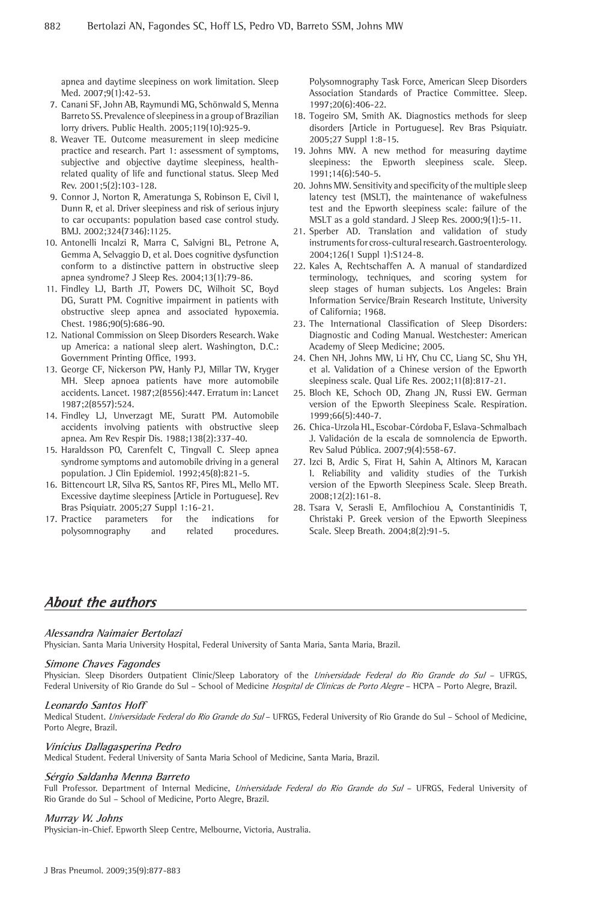apnea and daytime sleepiness on work limitation. Sleep Med. 2007;9(1):42-53.

- 7. Canani SF, John AB, Raymundi MG, Schönwald S, Menna Barreto SS. Prevalence of sleepiness in a group of Brazilian lorry drivers. Public Health. 2005;119(10):925-9.
- 8. Weaver TE. Outcome measurement in sleep medicine practice and research. Part 1: assessment of symptoms, subjective and objective daytime sleepiness, healthrelated quality of life and functional status. Sleep Med Rev. 2001;5(2):103-128.
- 9. Connor J, Norton R, Ameratunga S, Robinson E, Civil I, Dunn R, et al. Driver sleepiness and risk of serious injury to car occupants: population based case control study. BMJ. 2002;324(7346):1125.
- 10. Antonelli Incalzi R, Marra C, Salvigni BL, Petrone A, Gemma A, Selvaggio D, et al. Does cognitive dysfunction conform to a distinctive pattern in obstructive sleep apnea syndrome? J Sleep Res. 2004;13(1):79-86.
- 11. Findley LJ, Barth JT, Powers DC, Wilhoit SC, Boyd DG, Suratt PM. Cognitive impairment in patients with obstructive sleep apnea and associated hypoxemia. Chest. 1986;90(5):686-90.
- 12. National Commission on Sleep Disorders Research. Wake up America: a national sleep alert. Washington, D.C.: Government Printing Office, 1993.
- 13. George CF, Nickerson PW, Hanly PJ, Millar TW, Kryger MH. Sleep apnoea patients have more automobile accidents. Lancet. 1987;2(8556):447. Erratum in: Lancet 1987;2(8557):524.
- 14. Findley LJ, Unverzagt ME, Suratt PM. Automobile accidents involving patients with obstructive sleep apnea. Am Rev Respir Dis. 1988;138(2):337-40.
- 15. Haraldsson PO, Carenfelt C, Tingvall C. Sleep apnea syndrome symptoms and automobile driving in a general population. J Clin Epidemiol. 1992;45(8):821-5.
- 16. Bittencourt LR, Silva RS, Santos RF, Pires ML, Mello MT. Excessive daytime sleepiness [Article in Portuguese]. Rev Bras Psiquiatr. 2005;27 Suppl 1:16-21.
- 17. Practice parameters for the indications for polysomnography and related procedures.

Polysomnography Task Force, American Sleep Disorders Association Standards of Practice Committee. Sleep. 1997;20(6):406-22.

- 18. Togeiro SM, Smith AK. Diagnostics methods for sleep disorders [Article in Portuguese]. Rev Bras Psiquiatr. 2005;27 Suppl 1:8-15.
- 19. Johns MW. A new method for measuring daytime sleepiness: the Epworth sleepiness scale. Sleep. 1991;14(6):540-5.
- 20. Johns MW. Sensitivity and specificity of the multiple sleep latency test (MSLT), the maintenance of wakefulness test and the Epworth sleepiness scale: failure of the MSLT as a gold standard. J Sleep Res. 2000;9(1):5-11.
- 21. Sperber AD. Translation and validation of study instruments for cross-cultural research. Gastroenterology. 2004;126(1 Suppl 1):S124-8.
- 22. Kales A, Rechtschaffen A. A manual of standardized terminology, techniques, and scoring system for sleep stages of human subjects. Los Angeles: Brain Information Service/Brain Research Institute, University of California; 1968.
- 23. The International Classification of Sleep Disorders: Diagnostic and Coding Manual. Westchester: American Academy of Sleep Medicine; 2005.
- 24. Chen NH, Johns MW, Li HY, Chu CC, Liang SC, Shu YH, et al. Validation of a Chinese version of the Epworth sleepiness scale. Qual Life Res. 2002;11(8):817-21.
- 25. Bloch KE, Schoch OD, Zhang JN, Russi EW. German version of the Epworth Sleepiness Scale. Respiration. 1999;66(5):440-7.
- 26. Chica-Urzola HL, Escobar-Córdoba F, Eslava-Schmalbach J. Validación de la escala de somnolencia de Epworth. Rev Salud Pública. 2007;9(4):558-67.
- 27. Izci B, Ardic S, Firat H, Sahin A, Altinors M, Karacan I. Reliability and validity studies of the Turkish version of the Epworth Sleepiness Scale. Sleep Breath. 2008;12(2):161-8.
- 28. Tsara V, Serasli E, Amfilochiou A, Constantinidis T, Christaki P. Greek version of the Epworth Sleepiness Scale. Sleep Breath. 2004;8(2):91-5.

# **About the authors**

#### **Alessandra Naimaier Bertolazi**

Physician. Santa Maria University Hospital, Federal University of Santa Maria, Santa Maria, Brazil.

#### **Simone Chaves Fagondes**

Physician. Sleep Disorders Outpatient Clinic/Sleep Laboratory of the Universidade Federal do Rio Grande do Sul - UFRGS, Federal University of Rio Grande do Sul - School of Medicine Hospital de Clínicas de Porto Alegre - HCPA - Porto Alegre, Brazil.

#### **Leonardo Santos Hoff**

Medical Student. Universidade Federal do Rio Grande do Sul - UFRGS, Federal University of Rio Grande do Sul - School of Medicine, Porto Alegre, Brazil.

#### **Vinícius Dallagasperina Pedro**

Medical Student. Federal University of Santa Maria School of Medicine, Santa Maria, Brazil.

#### **Sérgio Saldanha Menna Barreto**

Full Professor. Department of Internal Medicine, Universidade Federal do Rio Grande do Sul - UFRGS, Federal University of Rio Grande do Sul – School of Medicine, Porto Alegre, Brazil.

#### **Murray W. Johns**

Physician-in-Chief. Epworth Sleep Centre, Melbourne, Victoria, Australia.